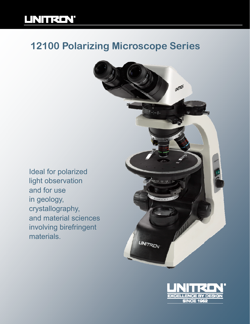## **UNITRON**

## **12100 Polarizing Microscope Series**

Ideal for polarized light observation and for use in geology, crystallography, and material sciences involving birefringent materials.